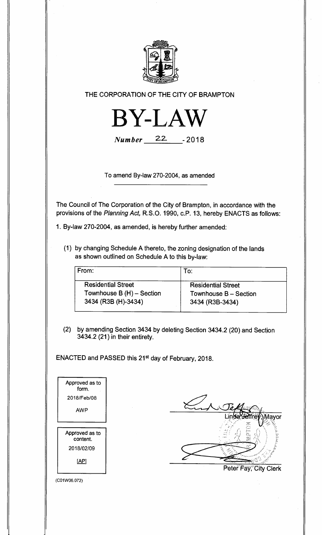

**THE CORPORATION OF THE CITY OF BRAMPTON** 



**Number** 22- -2018

**To amend By-law 270-2004, as amended** 

**The Council of The Corporation of the City of Brampton, in accordance with the provisions of the** Planning Act, **R.S.O. 1990, c.P. 13, hereby ENACTS as follows:** 

**1. By-law 270-2004, as amended, is hereby further amended:** 

**(1) by changing Schedule A thereto, the zoning designation of the lands as shown outlined on Schedule A to this by-law:** 

| From:                     | To:                       |
|---------------------------|---------------------------|
| <b>Residential Street</b> | <b>Residential Street</b> |
| Townhouse B (H) - Section | Townhouse B - Section     |
| 3434 (R3B (H)-3434)       | 3434 (R3B-3434)           |

**(2) by amending Section 3434 by deleting Section 3434.2 (20) and Section 3434.2 (21) in their entirety.** 

**ENACTED and PASSED this 21st day of February, 2018.** 

| Approved as to<br>form.    |
|----------------------------|
| 2018/Feb/08                |
| AWP                        |
|                            |
| Approved as to<br>content. |
|                            |
| 2018/02/09                 |
| <u>[AP]</u>                |

Mayor Peter<sup>Fay, City Clerk</sup>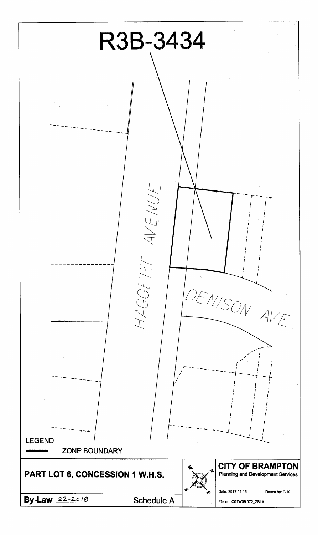